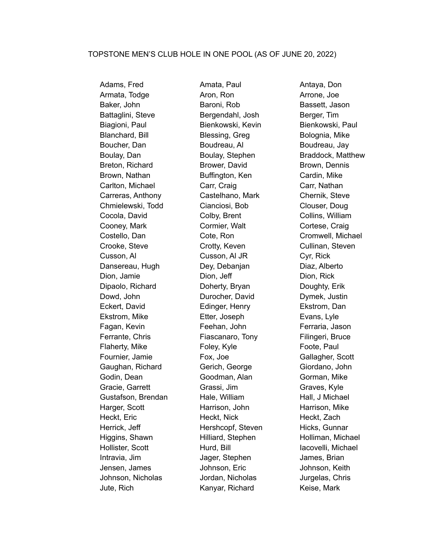Armata, Todge **Aron, Ron** Aron, Ron Arrone, Joe Baker, John Baroni, Rob Bassett, Jason Battaglini, Steve Bergendahl, Josh Berger, Tim Biagioni, Paul **Bienkowski, Kevin** Bienkowski, Paul Blanchard, Bill Blessing, Greg Bolognia, Mike Boucher, Dan Boudreau, Al Boucher, Dan Boudreau, Jay Boulay, Dan **Boulay, Stephen** Braddock, Matthew Breton, Richard **Brower, David Brown, Dennis** Brown, Nathan **Buffington, Ken** Cardin, Mike Carlton, Michael **Carr, Craig Carr, Craig Carr**, Nathan Carreras, Anthony Castelhano, Mark Chernik, Steve Chmielewski, Todd Cianciosi, Bob Clouser, Doug Cocola, David Colby, Brent Collins, William Cooney, Mark Cormier, Walt Cortese, Craig Costello, Dan Cote, Ron Cromwell, Michael Crooke, Steve Crotty, Keven Cullinan, Steven Cusson, Al Cusson, Al JR Cyr, Rick Dansereau, Hugh Dey, Debanjan Diaz, Alberto Dion, Jamie Dion, Dion, Jeff Dion, Dion, Rick Dipaolo, Richard Doherty, Bryan Doughty, Erik Dowd, John Durocher, David Dymek, Justin Eckert, David Edinger, Henry Ekstrom, Dan Ekstrom, Mike Etter, Joseph Evans, Lyle Fagan, Kevin Feehan, John Ferraria, Jason Ferrante, Chris **Filingeri, Bruce** Fiascanaro, Tony Filingeri, Bruce Flaherty, Mike **Foley, Kyle** Foote, Paul Fournier, Jamie Fox, Joe Gallagher, Scott Gaughan, Richard Gerich, George Giordano, John Godin, Dean Goodman, Alan Gorman, Mike Gracie, Garrett **Grassi, Jim** Gracie, Graves, Kyle Gustafson, Brendan Hale, William Hall, J Michael Harger, Scott **Harrison, John** Harrison, Mike Heckt, Eric **Heckt, Nick** Heckt, Nick Heckt, Zach Herrick, Jeff **Hershcopf, Steven** Hicks, Gunnar Higgins, Shawn **Hilliard, Stephen** Holliman, Michael Hollister, Scott **Hurd, Bill** Iacovelli, Michael Intravia, Jim Jager, Stephen James, Brian Jensen, James Johnson, Eric Johnson, Keith Johnson, Nicholas Jordan, Nicholas Jurgelas, Chris Jute, Rich Kanyar, Richard Keise, Mark

Adams, Fred **Amata, Paul Antaya, Don**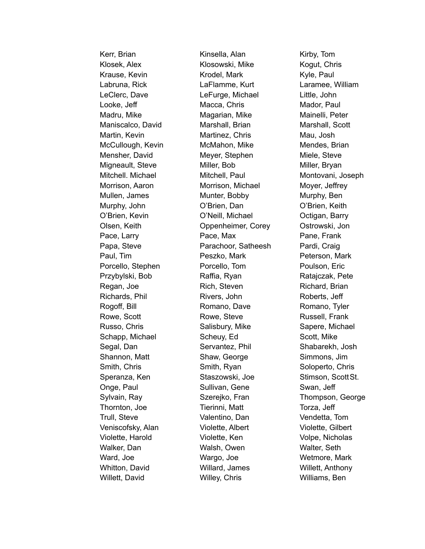Klosek, Alex **Klosowski, Mike** Kogut, Chris Krause, Kevin **Krodel, Mark Krondel, Mark Kyle, Paul** Labruna, Rick LaFlamme, Kurt Laramee, William LeClerc, Dave **LeFurge, Michael** Little, John Looke, Jeff **Macca, Chris** Macca, Chris Mador, Paul Madru, Mike Magarian, Mike Mainelli, Peter Maniscalco, David Marshall, Brian Marshall, Scott Martin, Kevin Martinez, Chris Mau, Josh McCullough, Kevin McMahon, Mike Mendes, Brian Mensher, David Meyer, Stephen Miele, Steve Migneault, Steve Miller, Bob Miller, Bryan Morrison, Aaron Morrison, Michael Moyer, Jeffrey Mullen, James Munter, Bobby Murphy, Ben Murphy, John O'Brien, Dan O'Brien, Keith O'Brien, Kevin O'Neill, Michael Octigan, Barry Olsen, Keith Oppenheimer, Corey Ostrowski, Jon Pace, Larry **Pace, Max** Pace, Max Pane, Frank Papa, Steve **Parachoor, Satheesh** Pardi, Craig Paul, Tim **Peszko, Mark Peterson, Mark** Peterson, Mark Porcello, Stephen Porcello, Tom Poulson, Eric Przybylski, Bob Raffia, Ryan Ratajczak, Pete Regan, Joe **Rich, Steven** Richard, Brian Richards, Phil **Rivers**, John Rivers, John Roberts, Jeff Rogoff, Bill **Romano, Dave** Romano, Dave Romano, Tyler Rowe, Scott **Rowe, Steve** Rowe, Steve Russell, Frank Russo, Chris **Salisbury, Mike** Sapere, Michael Schapp, Michael Scheuy, Ed Scott, Mike Segal, Dan Servantez, Phil Shabarekh, Josh Shannon, Matt Shaw, George Simmons, Jim Smith, Chris Smith, Ryan Soloperto, Chris Soloperto, Chris Speranza, Ken Staszowski, Joe Stimson, Scott St. Onge, Paul Sullivan, Gene Swan, Jeff Thornton, Joe Tierinni, Matt Torza, Jeff Trull, Steve Valentino, Dan Vendetta, Tom Veniscofsky, Alan Violette, Albert Violette, Gilbert Violette, Harold Violette, Ken Volpe, Nicholas Walker, Dan Walsh, Owen Walter, Seth Ward, Joe Wargo, Joe Wetmore, Mark Whitton, David Willard, James Willett, Anthony Willett, David **Willey, Chris** Willey, Chris Williams, Ben

Kerr, Brian Kinsella, Alan Kirby, Tom

Mitchell. Michael Mitchell, Paul Montovani, Joseph Sylvain, Ray Szerejko, Fran Thompson, George